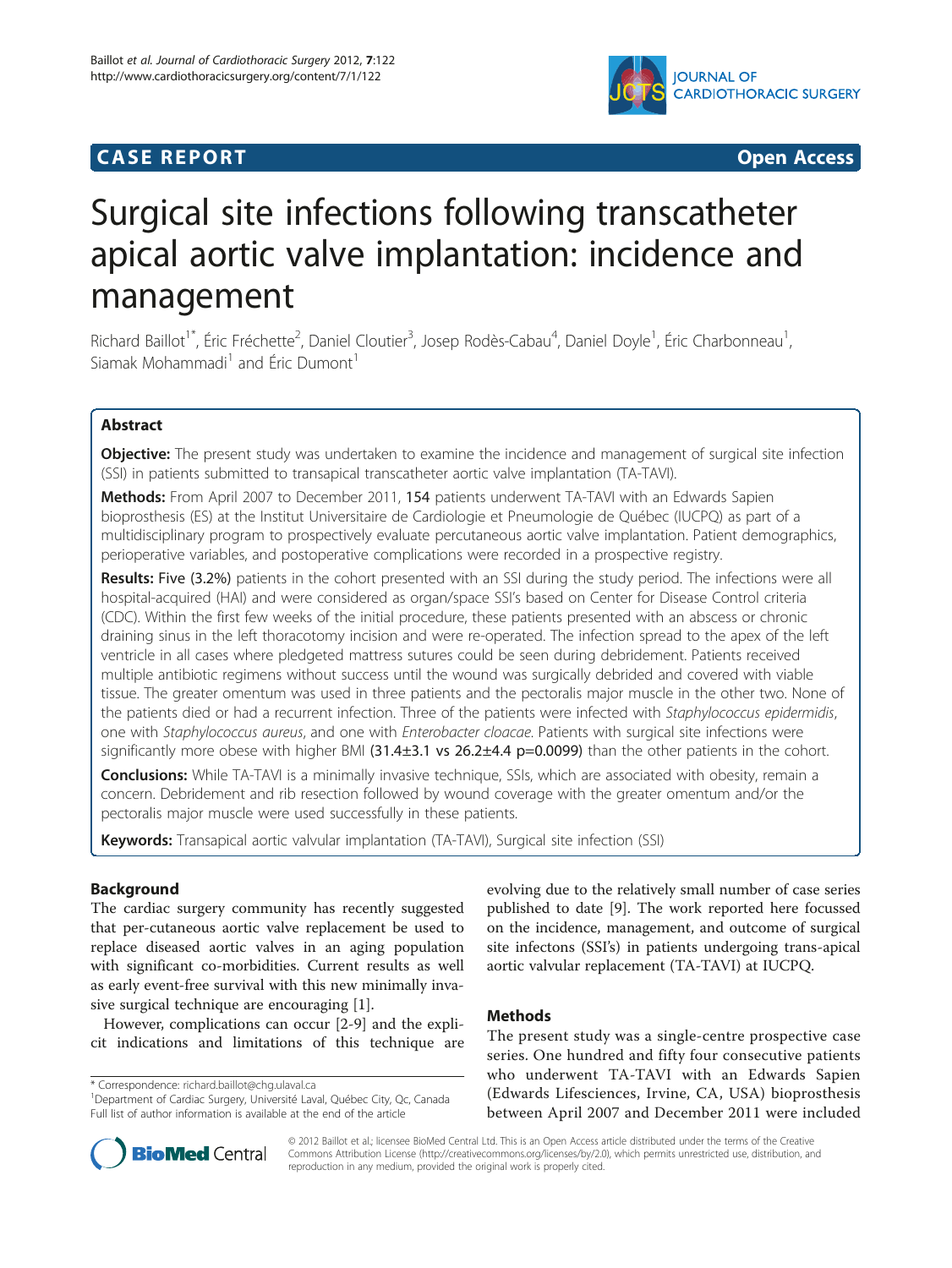# **CASE REPORT CASE REPORT CASE REPORT**



# Surgical site infections following transcatheter apical aortic valve implantation: incidence and management

Richard Baillot<sup>1\*</sup>, Éric Fréchette<sup>2</sup>, Daniel Cloutier<sup>3</sup>, Josep Rodès-Cabau<sup>4</sup>, Daniel Doyle<sup>1</sup>, Éric Charbonneau<sup>1</sup> , Siamak Mohammadi $1$  and Éric Dumont $1$ 

# Abstract

Objective: The present study was undertaken to examine the incidence and management of surgical site infection (SSI) in patients submitted to transapical transcatheter aortic valve implantation (TA-TAVI).

Methods: From April 2007 to December 2011, 154 patients underwent TA-TAVI with an Edwards Sapien bioprosthesis (ES) at the Institut Universitaire de Cardiologie et Pneumologie de Québec (IUCPQ) as part of a multidisciplinary program to prospectively evaluate percutaneous aortic valve implantation. Patient demographics, perioperative variables, and postoperative complications were recorded in a prospective registry.

Results: Five (3.2%) patients in the cohort presented with an SSI during the study period. The infections were all hospital-acquired (HAI) and were considered as organ/space SSI's based on Center for Disease Control criteria (CDC). Within the first few weeks of the initial procedure, these patients presented with an abscess or chronic draining sinus in the left thoracotomy incision and were re-operated. The infection spread to the apex of the left ventricle in all cases where pledgeted mattress sutures could be seen during debridement. Patients received multiple antibiotic regimens without success until the wound was surgically debrided and covered with viable tissue. The greater omentum was used in three patients and the pectoralis major muscle in the other two. None of the patients died or had a recurrent infection. Three of the patients were infected with Staphylococcus epidermidis, one with Staphylococcus aureus, and one with Enterobacter cloacae. Patients with surgical site infections were significantly more obese with higher BMI  $(31.4\pm3.1 \text{ vs } 26.2\pm4.4 \text{ p} = 0.0099)$  than the other patients in the cohort.

**Conclusions:** While TA-TAVI is a minimally invasive technique, SSIs, which are associated with obesity, remain a concern. Debridement and rib resection followed by wound coverage with the greater omentum and/or the pectoralis major muscle were used successfully in these patients.

Keywords: Transapical aortic valvular implantation (TA-TAVI), Surgical site infection (SSI)

# Background

The cardiac surgery community has recently suggested that per-cutaneous aortic valve replacement be used to replace diseased aortic valves in an aging population with significant co-morbidities. Current results as well as early event-free survival with this new minimally invasive surgical technique are encouraging [\[1\]](#page-5-0).

However, complications can occur [\[2-9](#page-5-0)] and the explicit indications and limitations of this technique are

\* Correspondence: [richard.baillot@chg.ulaval.ca](mailto:richard.baillot@chg.ulaval.ca) <sup>1</sup>

evolving due to the relatively small number of case series published to date [[9](#page-5-0)]. The work reported here focussed on the incidence, management, and outcome of surgical site infectons (SSI's) in patients undergoing trans-apical aortic valvular replacement (TA-TAVI) at IUCPQ.

# Methods

The present study was a single-centre prospective case series. One hundred and fifty four consecutive patients who underwent TA-TAVI with an Edwards Sapien (Edwards Lifesciences, Irvine, CA, USA) bioprosthesis between April 2007 and December 2011 were included



© 2012 Baillot et al.; licensee BioMed Central Ltd. This is an Open Access article distributed under the terms of the Creative Commons Attribution License [\(http://creativecommons.org/licenses/by/2.0\)](http://creativecommons.org/licenses/by/2.0), which permits unrestricted use, distribution, and reproduction in any medium, provided the original work is properly cited.

<sup>&</sup>lt;sup>1</sup>Department of Cardiac Surgery, Université Laval, Québec City, Qc, Canada Full list of author information is available at the end of the article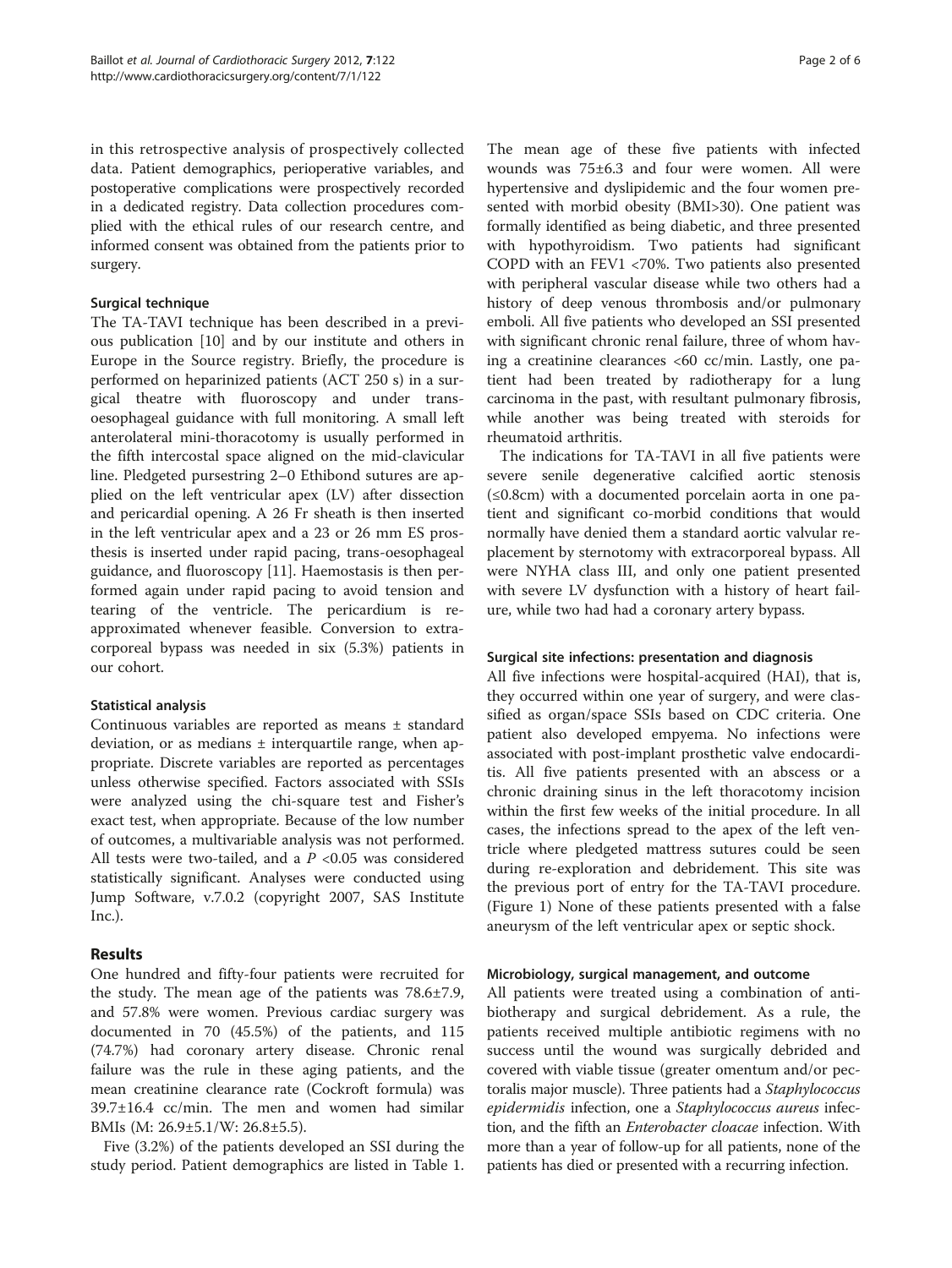in this retrospective analysis of prospectively collected data. Patient demographics, perioperative variables, and postoperative complications were prospectively recorded in a dedicated registry. Data collection procedures complied with the ethical rules of our research centre, and informed consent was obtained from the patients prior to surgery.

#### Surgical technique

The TA-TAVI technique has been described in a previous publication [\[10\]](#page-5-0) and by our institute and others in Europe in the Source registry. Briefly, the procedure is performed on heparinized patients (ACT 250 s) in a surgical theatre with fluoroscopy and under transoesophageal guidance with full monitoring. A small left anterolateral mini-thoracotomy is usually performed in the fifth intercostal space aligned on the mid-clavicular line. Pledgeted pursestring 2–0 Ethibond sutures are applied on the left ventricular apex (LV) after dissection and pericardial opening. A 26 Fr sheath is then inserted in the left ventricular apex and a 23 or 26 mm ES prosthesis is inserted under rapid pacing, trans-oesophageal guidance, and fluoroscopy [\[11](#page-5-0)]. Haemostasis is then performed again under rapid pacing to avoid tension and tearing of the ventricle. The pericardium is reapproximated whenever feasible. Conversion to extracorporeal bypass was needed in six (5.3%) patients in our cohort.

#### Statistical analysis

Continuous variables are reported as means ± standard deviation, or as medians  $\pm$  interquartile range, when appropriate. Discrete variables are reported as percentages unless otherwise specified. Factors associated with SSIs were analyzed using the chi-square test and Fisher's exact test, when appropriate. Because of the low number of outcomes, a multivariable analysis was not performed. All tests were two-tailed, and a  $P < 0.05$  was considered statistically significant. Analyses were conducted using Jump Software, v.7.0.2 (copyright 2007, SAS Institute Inc.).

# Results

One hundred and fifty-four patients were recruited for the study. The mean age of the patients was 78.6±7.9, and 57.8% were women. Previous cardiac surgery was documented in 70 (45.5%) of the patients, and 115 (74.7%) had coronary artery disease. Chronic renal failure was the rule in these aging patients, and the mean creatinine clearance rate (Cockroft formula) was 39.7±16.4 cc/min. The men and women had similar BMIs (M: 26.9±5.1/W: 26.8±5.5).

Five (3.2%) of the patients developed an SSI during the study period. Patient demographics are listed in Table [1](#page-2-0).

The mean age of these five patients with infected wounds was 75±6.3 and four were women. All were hypertensive and dyslipidemic and the four women presented with morbid obesity (BMI>30). One patient was formally identified as being diabetic, and three presented with hypothyroidism. Two patients had significant COPD with an FEV1 <70%. Two patients also presented with peripheral vascular disease while two others had a history of deep venous thrombosis and/or pulmonary emboli. All five patients who developed an SSI presented with significant chronic renal failure, three of whom having a creatinine clearances <60 cc/min. Lastly, one patient had been treated by radiotherapy for a lung carcinoma in the past, with resultant pulmonary fibrosis, while another was being treated with steroids for rheumatoid arthritis.

The indications for TA-TAVI in all five patients were severe senile degenerative calcified aortic stenosis (≤0.8cm) with a documented porcelain aorta in one patient and significant co-morbid conditions that would normally have denied them a standard aortic valvular replacement by sternotomy with extracorporeal bypass. All were NYHA class III, and only one patient presented with severe LV dysfunction with a history of heart failure, while two had had a coronary artery bypass.

# Surgical site infections: presentation and diagnosis

All five infections were hospital-acquired (HAI), that is, they occurred within one year of surgery, and were classified as organ/space SSIs based on CDC criteria. One patient also developed empyema. No infections were associated with post-implant prosthetic valve endocarditis. All five patients presented with an abscess or a chronic draining sinus in the left thoracotomy incision within the first few weeks of the initial procedure. In all cases, the infections spread to the apex of the left ventricle where pledgeted mattress sutures could be seen during re-exploration and debridement. This site was the previous port of entry for the TA-TAVI procedure. (Figure [1](#page-2-0)) None of these patients presented with a false aneurysm of the left ventricular apex or septic shock.

# Microbiology, surgical management, and outcome

All patients were treated using a combination of antibiotherapy and surgical debridement. As a rule, the patients received multiple antibiotic regimens with no success until the wound was surgically debrided and covered with viable tissue (greater omentum and/or pectoralis major muscle). Three patients had a *Staphylococcus* epidermidis infection, one a Staphylococcus aureus infection, and the fifth an Enterobacter cloacae infection. With more than a year of follow-up for all patients, none of the patients has died or presented with a recurring infection.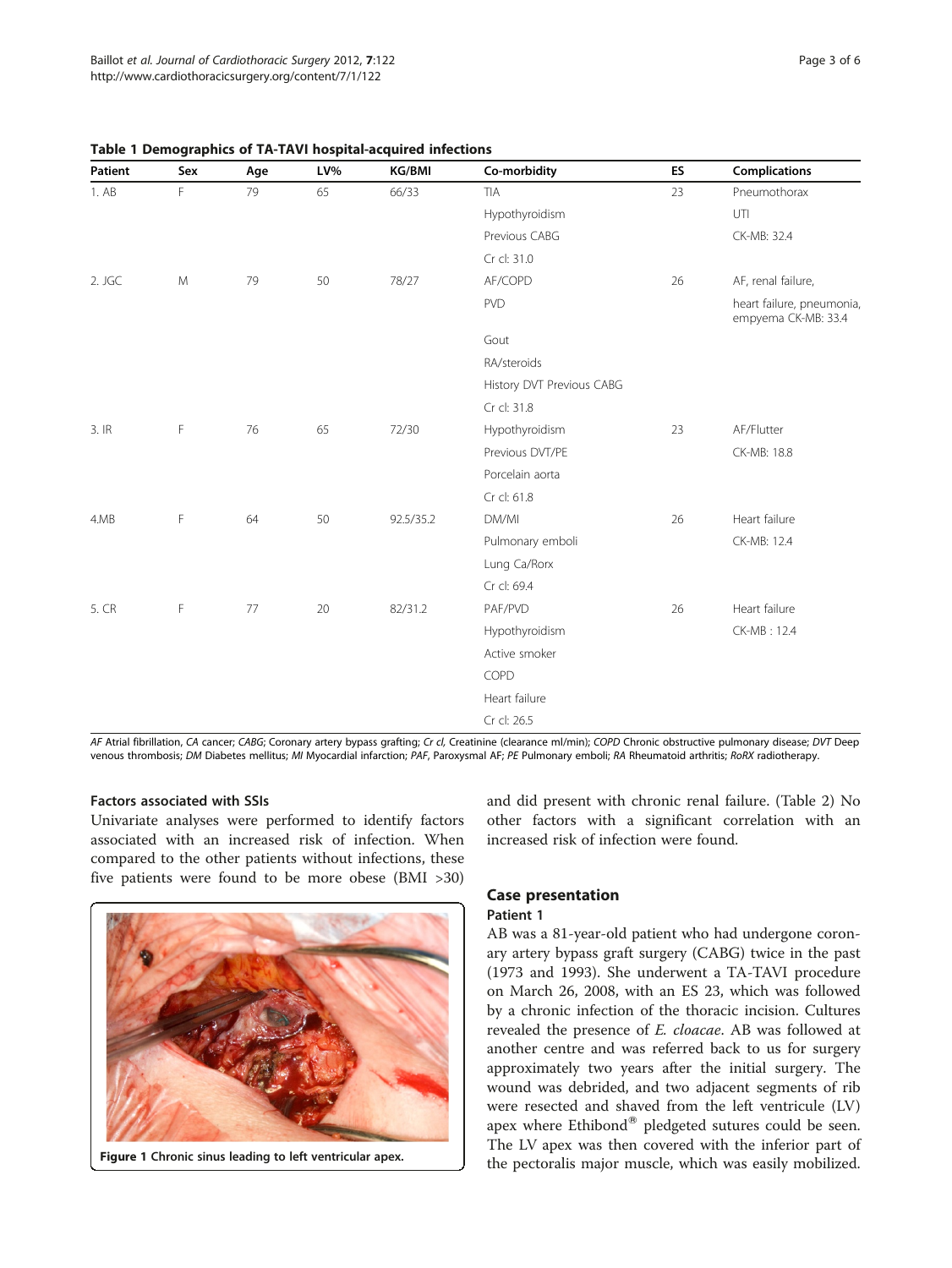| Patient | Sex | Age     | LV% | <b>KG/BMI</b> | Co-morbidity              | <b>ES</b> | <b>Complications</b>                             |
|---------|-----|---------|-----|---------------|---------------------------|-----------|--------------------------------------------------|
| 1. AB   | F   | 79      | 65  | 66/33         | TIA                       | 23        | Pneumothorax                                     |
|         |     |         |     |               | Hypothyroidism            |           | UTI                                              |
|         |     |         |     |               | Previous CABG             |           | CK-MB: 32.4                                      |
|         |     |         |     |               | Cr cl: 31.0               |           |                                                  |
| 2. JGC  | M   | 79      | 50  | 78/27         | AF/COPD                   | 26        | AF, renal failure,                               |
|         |     |         |     |               | <b>PVD</b>                |           | heart failure, pneumonia,<br>empyema CK-MB: 33.4 |
|         |     |         |     |               | Gout                      |           |                                                  |
|         |     |         |     |               | RA/steroids               |           |                                                  |
|         |     |         |     |               | History DVT Previous CABG |           |                                                  |
|         |     |         |     |               | Cr cl: 31.8               |           |                                                  |
| 3.IR    | F   | 76      | 65  | 72/30         | Hypothyroidism            | 23        | AF/Flutter                                       |
|         |     |         |     |               | Previous DVT/PE           |           | CK-MB: 18.8                                      |
|         |     |         |     |               | Porcelain aorta           |           |                                                  |
|         |     |         |     |               | Cr cl: 61.8               |           |                                                  |
| 4.MB    | F   | 64      | 50  | 92.5/35.2     | DM/MI                     | 26        | Heart failure                                    |
|         |     |         |     |               | Pulmonary emboli          |           | CK-MB: 12.4                                      |
|         |     |         |     |               | Lung Ca/Rorx              |           |                                                  |
|         |     |         |     |               | Cr cl: 69.4               |           |                                                  |
| 5. CR   | F   | $77 \,$ | 20  | 82/31.2       | PAF/PVD                   | 26        | Heart failure                                    |
|         |     |         |     |               | Hypothyroidism            |           | CK-MB: 12.4                                      |
|         |     |         |     |               | Active smoker             |           |                                                  |
|         |     |         |     |               | COPD                      |           |                                                  |
|         |     |         |     |               | Heart failure             |           |                                                  |
|         |     |         |     |               | Cr cl: 26.5               |           |                                                  |

<span id="page-2-0"></span>Table 1 Demographics of TA-TAVI hospital-acquired infections

AF Atrial fibrillation, CA cancer; CABG; Coronary artery bypass grafting; Cr cl, Creatinine (clearance ml/min); COPD Chronic obstructive pulmonary disease; DVT Deep venous thrombosis; DM Diabetes mellitus; MI Myocardial infarction; PAF, Paroxysmal AF; PE Pulmonary emboli; RA Rheumatoid arthritis; RoRX radiotherapy.

#### Factors associated with SSIs

Univariate analyses were performed to identify factors associated with an increased risk of infection. When compared to the other patients without infections, these five patients were found to be more obese (BMI >30)



and did present with chronic renal failure. (Table [2](#page-3-0)) No other factors with a significant correlation with an increased risk of infection were found.

# Case presentation

#### Patient 1

AB was a 81-year-old patient who had undergone coronary artery bypass graft surgery (CABG) twice in the past (1973 and 1993). She underwent a TA-TAVI procedure on March 26, 2008, with an ES 23, which was followed by a chronic infection of the thoracic incision. Cultures revealed the presence of E. cloacae. AB was followed at another centre and was referred back to us for surgery approximately two years after the initial surgery. The wound was debrided, and two adjacent segments of rib were resected and shaved from the left ventricule (LV) apex where Ethibond $^{\circledR}$  pledgeted sutures could be seen. The LV apex was then covered with the inferior part of Figure 1 Chronic sinus leading to left ventricular apex.<br>
the pectoralis major muscle, which was easily mobilized.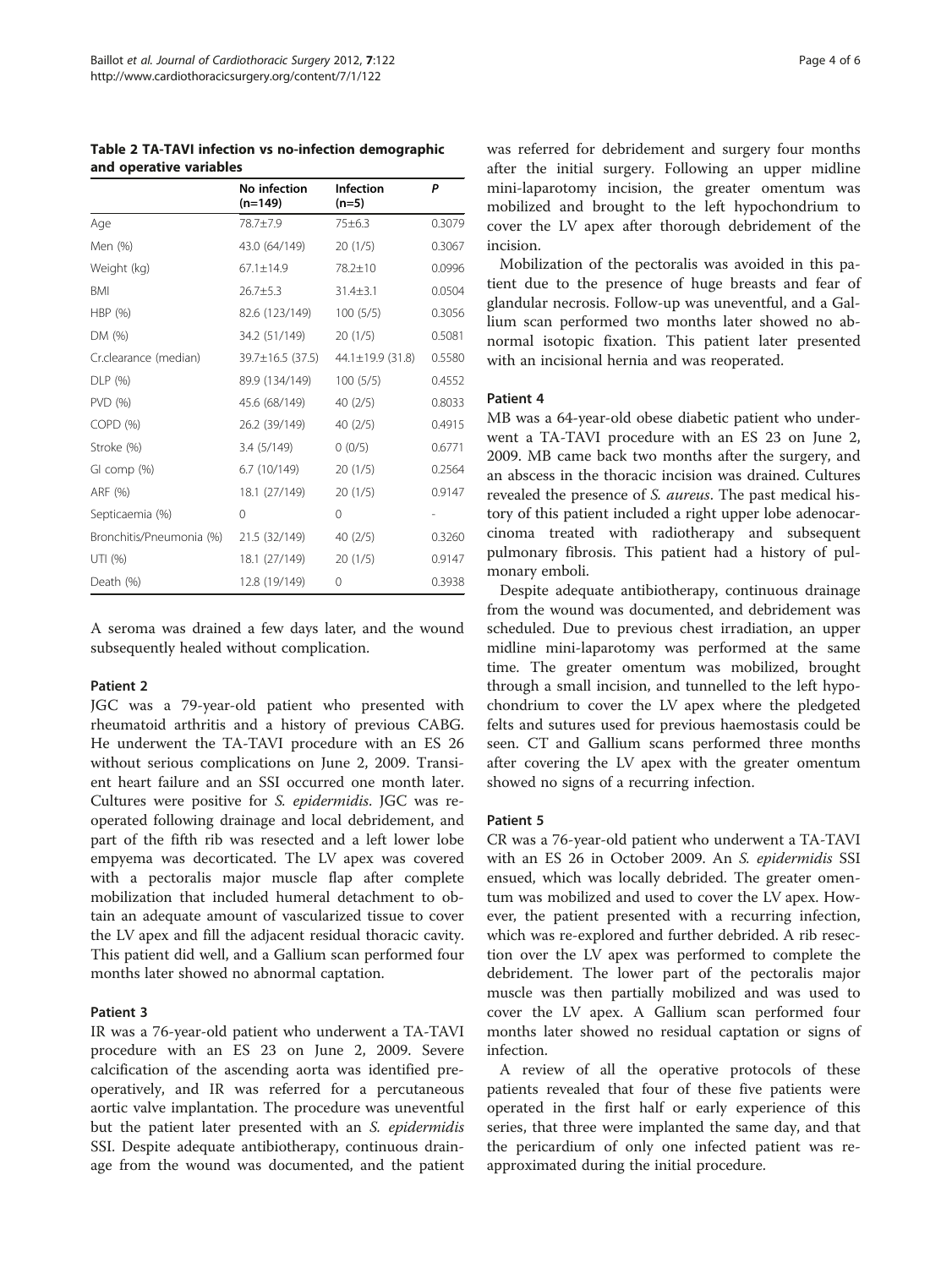<span id="page-3-0"></span>Table 2 TA-TAVI infection vs no-infection demographic and operative variables

|                          | No infection<br>$(n=149)$ | <b>Infection</b><br>$(n=5)$ | P      |
|--------------------------|---------------------------|-----------------------------|--------|
| Age                      | 78.7±7.9                  | 75±6.3                      | 0.3079 |
| Men (%)                  | 43.0 (64/149)             | 20(1/5)                     | 0.3067 |
| Weight (kg)              | $67.1 \pm 14.9$           | 78.2±10                     | 0.0996 |
| <b>BMI</b>               | $26.7 \pm 5.3$            | $31.4 \pm 3.1$              | 0.0504 |
| HBP (%)                  | 82.6 (123/149)            | 100(5/5)                    | 0.3056 |
| DM (%)                   | 34.2 (51/149)             | 20(1/5)                     | 0.5081 |
| Cr.clearance (median)    | 39.7±16.5 (37.5)          | $44.1 \pm 19.9$ (31.8)      | 0.5580 |
| DLP (%)                  | 89.9 (134/149)            | 100(5/5)                    | 0.4552 |
| PVD (%)                  | 45.6 (68/149)             | 40(2/5)                     | 0.8033 |
| COPD (%)                 | 26.2 (39/149)             | 40(2/5)                     | 0.4915 |
| Stroke (%)               | 3.4(5/149)                | 0(0/5)                      | 0.6771 |
| GI comp (%)              | 6.7 (10/149)              | 20(1/5)                     | 0.2564 |
| ARF (%)                  | 18.1 (27/149)             | 20(1/5)                     | 0.9147 |
| Septicaemia (%)          | $\Omega$                  | $\Omega$                    |        |
| Bronchitis/Pneumonia (%) | 21.5 (32/149)             | 40(2/5)                     | 0.3260 |
| UTI (%)                  | 18.1 (27/149)             | 20(1/5)                     | 0.9147 |
| Death (%)                | 12.8 (19/149)             | $\Omega$                    | 0.3938 |

A seroma was drained a few days later, and the wound subsequently healed without complication.

#### Patient 2

JGC was a 79-year-old patient who presented with rheumatoid arthritis and a history of previous CABG. He underwent the TA-TAVI procedure with an ES 26 without serious complications on June 2, 2009. Transient heart failure and an SSI occurred one month later. Cultures were positive for S. epidermidis. JGC was reoperated following drainage and local debridement, and part of the fifth rib was resected and a left lower lobe empyema was decorticated. The LV apex was covered with a pectoralis major muscle flap after complete mobilization that included humeral detachment to obtain an adequate amount of vascularized tissue to cover the LV apex and fill the adjacent residual thoracic cavity. This patient did well, and a Gallium scan performed four months later showed no abnormal captation.

#### Patient 3

IR was a 76-year-old patient who underwent a TA-TAVI procedure with an ES 23 on June 2, 2009. Severe calcification of the ascending aorta was identified preoperatively, and IR was referred for a percutaneous aortic valve implantation. The procedure was uneventful but the patient later presented with an *S. epidermidis* SSI. Despite adequate antibiotherapy, continuous drainage from the wound was documented, and the patient was referred for debridement and surgery four months after the initial surgery. Following an upper midline mini-laparotomy incision, the greater omentum was mobilized and brought to the left hypochondrium to cover the LV apex after thorough debridement of the incision.

Mobilization of the pectoralis was avoided in this patient due to the presence of huge breasts and fear of glandular necrosis. Follow-up was uneventful, and a Gallium scan performed two months later showed no abnormal isotopic fixation. This patient later presented with an incisional hernia and was reoperated.

#### Patient 4

MB was a 64-year-old obese diabetic patient who underwent a TA-TAVI procedure with an ES 23 on June 2, 2009. MB came back two months after the surgery, and an abscess in the thoracic incision was drained. Cultures revealed the presence of S. aureus. The past medical history of this patient included a right upper lobe adenocarcinoma treated with radiotherapy and subsequent pulmonary fibrosis. This patient had a history of pulmonary emboli.

Despite adequate antibiotherapy, continuous drainage from the wound was documented, and debridement was scheduled. Due to previous chest irradiation, an upper midline mini-laparotomy was performed at the same time. The greater omentum was mobilized, brought through a small incision, and tunnelled to the left hypochondrium to cover the LV apex where the pledgeted felts and sutures used for previous haemostasis could be seen. CT and Gallium scans performed three months after covering the LV apex with the greater omentum showed no signs of a recurring infection.

# Patient 5

CR was a 76-year-old patient who underwent a TA-TAVI with an ES 26 in October 2009. An S. epidermidis SSI ensued, which was locally debrided. The greater omentum was mobilized and used to cover the LV apex. However, the patient presented with a recurring infection, which was re-explored and further debrided. A rib resection over the LV apex was performed to complete the debridement. The lower part of the pectoralis major muscle was then partially mobilized and was used to cover the LV apex. A Gallium scan performed four months later showed no residual captation or signs of infection.

A review of all the operative protocols of these patients revealed that four of these five patients were operated in the first half or early experience of this series, that three were implanted the same day, and that the pericardium of only one infected patient was reapproximated during the initial procedure.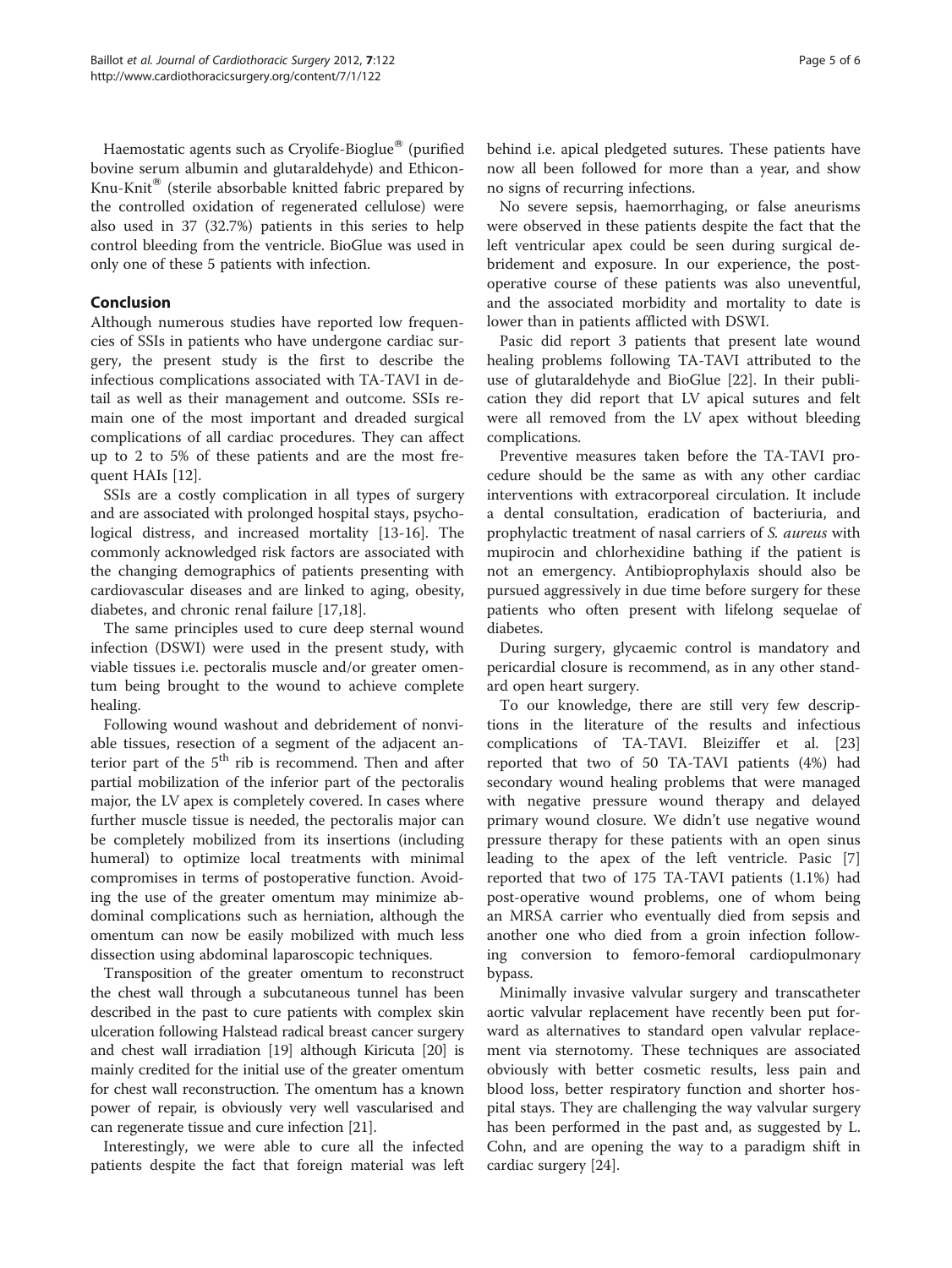Haemostatic agents such as Cryolife-Bioglue® (purified bovine serum albumin and glutaraldehyde) and Ethicon-Knu-Knit® (sterile absorbable knitted fabric prepared by the controlled oxidation of regenerated cellulose) were also used in 37 (32.7%) patients in this series to help control bleeding from the ventricle. BioGlue was used in only one of these 5 patients with infection.

# Conclusion

Although numerous studies have reported low frequencies of SSIs in patients who have undergone cardiac surgery, the present study is the first to describe the infectious complications associated with TA-TAVI in detail as well as their management and outcome. SSIs remain one of the most important and dreaded surgical complications of all cardiac procedures. They can affect up to 2 to 5% of these patients and are the most frequent HAIs [\[12\]](#page-5-0).

SSIs are a costly complication in all types of surgery and are associated with prolonged hospital stays, psychological distress, and increased mortality [[13-16\]](#page-5-0). The commonly acknowledged risk factors are associated with the changing demographics of patients presenting with cardiovascular diseases and are linked to aging, obesity, diabetes, and chronic renal failure [\[17,18\]](#page-5-0).

The same principles used to cure deep sternal wound infection (DSWI) were used in the present study, with viable tissues i.e. pectoralis muscle and/or greater omentum being brought to the wound to achieve complete healing.

Following wound washout and debridement of nonviable tissues, resection of a segment of the adjacent anterior part of the  $5<sup>th</sup>$  rib is recommend. Then and after partial mobilization of the inferior part of the pectoralis major, the LV apex is completely covered. In cases where further muscle tissue is needed, the pectoralis major can be completely mobilized from its insertions (including humeral) to optimize local treatments with minimal compromises in terms of postoperative function. Avoiding the use of the greater omentum may minimize abdominal complications such as herniation, although the omentum can now be easily mobilized with much less dissection using abdominal laparoscopic techniques.

Transposition of the greater omentum to reconstruct the chest wall through a subcutaneous tunnel has been described in the past to cure patients with complex skin ulceration following Halstead radical breast cancer surgery and chest wall irradiation [[19](#page-5-0)] although Kiricuta [\[20\]](#page-5-0) is mainly credited for the initial use of the greater omentum for chest wall reconstruction. The omentum has a known power of repair, is obviously very well vascularised and can regenerate tissue and cure infection [[21](#page-5-0)].

Interestingly, we were able to cure all the infected patients despite the fact that foreign material was left

behind i.e. apical pledgeted sutures. These patients have now all been followed for more than a year, and show no signs of recurring infections.

No severe sepsis, haemorrhaging, or false aneurisms were observed in these patients despite the fact that the left ventricular apex could be seen during surgical debridement and exposure. In our experience, the postoperative course of these patients was also uneventful, and the associated morbidity and mortality to date is lower than in patients afflicted with DSWI.

Pasic did report 3 patients that present late wound healing problems following TA-TAVI attributed to the use of glutaraldehyde and BioGlue [\[22](#page-5-0)]. In their publication they did report that LV apical sutures and felt were all removed from the LV apex without bleeding complications.

Preventive measures taken before the TA-TAVI procedure should be the same as with any other cardiac interventions with extracorporeal circulation. It include a dental consultation, eradication of bacteriuria, and prophylactic treatment of nasal carriers of S. aureus with mupirocin and chlorhexidine bathing if the patient is not an emergency. Antibioprophylaxis should also be pursued aggressively in due time before surgery for these patients who often present with lifelong sequelae of diabetes.

During surgery, glycaemic control is mandatory and pericardial closure is recommend, as in any other standard open heart surgery.

To our knowledge, there are still very few descriptions in the literature of the results and infectious complications of TA-TAVI. Bleiziffer et al. [[23](#page-5-0)] reported that two of 50 TA-TAVI patients (4%) had secondary wound healing problems that were managed with negative pressure wound therapy and delayed primary wound closure. We didn't use negative wound pressure therapy for these patients with an open sinus leading to the apex of the left ventricle. Pasic [\[7](#page-5-0)] reported that two of 175 TA-TAVI patients (1.1%) had post-operative wound problems, one of whom being an MRSA carrier who eventually died from sepsis and another one who died from a groin infection following conversion to femoro-femoral cardiopulmonary bypass.

Minimally invasive valvular surgery and transcatheter aortic valvular replacement have recently been put forward as alternatives to standard open valvular replacement via sternotomy. These techniques are associated obviously with better cosmetic results, less pain and blood loss, better respiratory function and shorter hospital stays. They are challenging the way valvular surgery has been performed in the past and, as suggested by L. Cohn, and are opening the way to a paradigm shift in cardiac surgery [[24\]](#page-5-0).